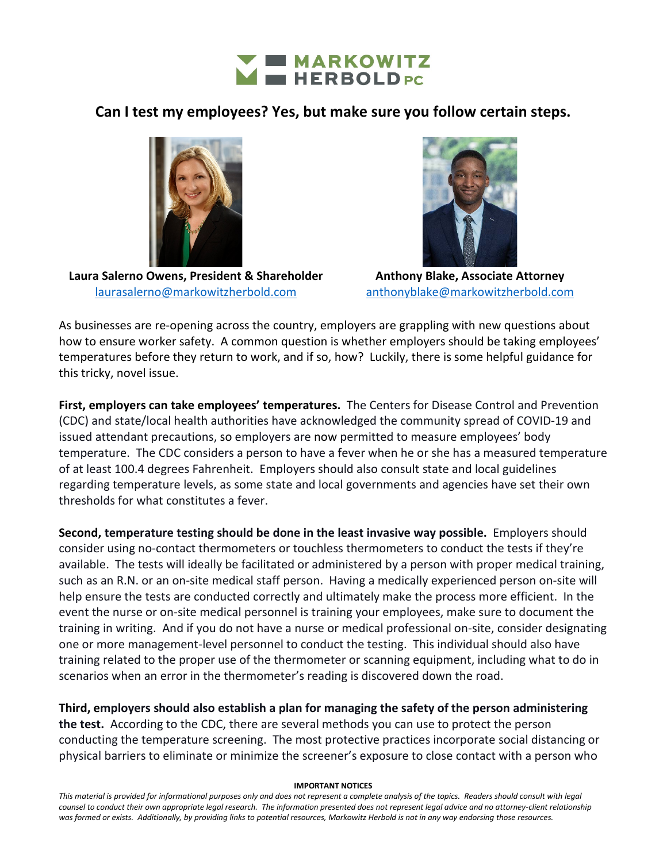

## **Can I test my employees? Yes, but make sure you follow certain steps.**



**Laura Salerno Owens, President & Shareholder**  [laurasalerno@markowitzherbold.com](mailto:laurasalerno@markowitzherbold.com)



**Anthony Blake, Associate Attorney** [anthonyblake@markowitzherbold.com](mailto:anthonyblake@markowitzherbold.com)

As businesses are re-opening across the country, employers are grappling with new questions about how to ensure worker safety. A common question is whether employers should be taking employees' temperatures before they return to work, and if so, how? Luckily, there is some helpful guidance for this tricky, novel issue.

**First, employers can take employees' temperatures.** The Centers for Disease Control and Prevention (CDC) and state/local health authorities have acknowledged the community spread of COVID-19 and issued attendant precautions, so employers are now permitted to measure employees' body temperature. The CDC considers a person to have a fever when he or she has a measured temperature of at least 100.4 degrees Fahrenheit. Employers should also consult state and local guidelines regarding temperature levels, as some state and local governments and agencies have set their own thresholds for what constitutes a fever.

**Second, temperature testing should be done in the least invasive way possible.** Employers should consider using no-contact thermometers or touchless thermometers to conduct the tests if they're available. The tests will ideally be facilitated or administered by a person with proper medical training, such as an R.N. or an on-site medical staff person. Having a medically experienced person on-site will help ensure the tests are conducted correctly and ultimately make the process more efficient. In the event the nurse or on-site medical personnel is training your employees, make sure to document the training in writing. And if you do not have a nurse or medical professional on-site, consider designating one or more management-level personnel to conduct the testing. This individual should also have training related to the proper use of the thermometer or scanning equipment, including what to do in scenarios when an error in the thermometer's reading is discovered down the road.

**Third, employers should also establish a plan for managing the safety of the person administering the test.** According to the CDC, there are several methods you can use to protect the person conducting the temperature screening. The most protective practices incorporate social distancing or physical barriers to eliminate or minimize the screener's exposure to close contact with a person who

## **IMPORTANT NOTICES**

*This material is provided for informational purposes only and does not represent a complete analysis of the topics. Readers should consult with legal counsel to conduct their own appropriate legal research. The information presented does not represent legal advice and no attorney-client relationship was formed or exists. Additionally, by providing links to potential resources, Markowitz Herbold is not in any way endorsing those resources.*